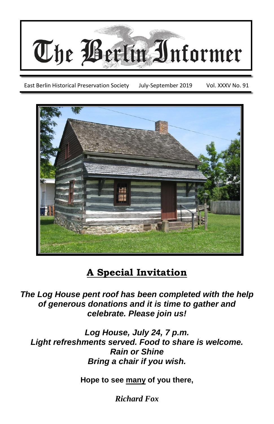

East Berlin Historical Preservation Society July-September 2019 Vol. XXXV No. 91



## **A Special Invitation**

*The Log House pent roof has been completed with the help of generous donations and it is time to gather and celebrate. Please join us!*

*Log House, July 24, 7 p.m. Light refreshments served. Food to share is welcome. Rain or Shine Bring a chair if you wish.*

**Hope to see many of you there,**

*Richard Fox*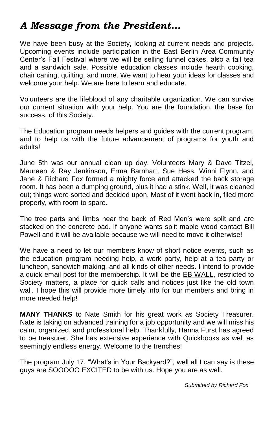### *A Message from the President…*

We have been busy at the Society, looking at current needs and projects. Upcoming events include participation in the East Berlin Area Community Center's Fall Festival where we will be selling funnel cakes, also a fall tea and a sandwich sale. Possible education classes include hearth cooking, chair caning, quilting, and more. We want to hear your ideas for classes and welcome your help. We are here to learn and educate.

Volunteers are the lifeblood of any charitable organization. We can survive our current situation with your help. You are the foundation, the base for success, of this Society.

The Education program needs helpers and guides with the current program, and to help us with the future advancement of programs for youth and adults!

June 5th was our annual clean up day. Volunteers Mary & Dave Titzel, Maureen & Ray Jenkinson, Erma Barnhart, Sue Hess, Winni Flynn, and Jane & Richard Fox formed a mighty force and attacked the back storage room. It has been a dumping ground, plus it had a stink. Well, it was cleaned out; things were sorted and decided upon. Most of it went back in, filed more properly, with room to spare.

The tree parts and limbs near the back of Red Men's were split and are stacked on the concrete pad. If anyone wants split maple wood contact Bill Powell and it will be available because we will need to move it otherwise!

We have a need to let our members know of short notice events, such as the education program needing help, a work party, help at a tea party or luncheon, sandwich making, and all kinds of other needs. I intend to provide a quick email post for the membership. It will be the EB WALL, restricted to Society matters, a place for quick calls and notices just like the old town wall. I hope this will provide more timely info for our members and bring in more needed help!

**MANY THANKS** to Nate Smith for his great work as Society Treasurer. Nate is taking on advanced training for a job opportunity and we will miss his calm, organized, and professional help. Thankfully, Hanna Furst has agreed to be treasurer. She has extensive experience with Quickbooks as well as seemingly endless energy. Welcome to the trenches!

The program July 17, "What's in Your Backyard?", well all I can say is these guys are SOOOOO EXCITED to be with us. Hope you are as well.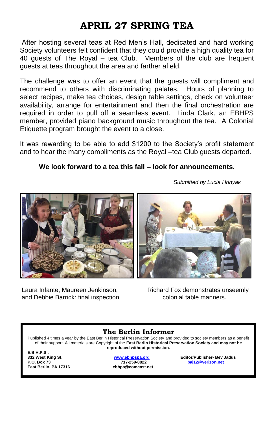### **APRIL 27 SPRING TEA**

After hosting several teas at Red Men's Hall, dedicated and hard working Society volunteers felt confident that they could provide a high quality tea for 40 guests of The Royal – tea Club. Members of the club are frequent guests at teas throughout the area and farther afield.

The challenge was to offer an event that the guests will compliment and recommend to others with discriminating palates. Hours of planning to select recipes, make tea choices, design table settings, check on volunteer availability, arrange for entertainment and then the final orchestration are required in order to pull off a seamless event. Linda Clark, an EBHPS member, provided piano background music throughout the tea. A Colonial Etiquette program brought the event to a close.

It was rewarding to be able to add \$1200 to the Society's profit statement and to hear the many compliments as the Royal –tea Club guests departed.

#### **We look forward to a tea this fall – look for announcements.**



and Debbie Barrick: final inspection example of colonial table manners.

Laura Infante, Maureen Jenkinson, Richard Fox demonstrates unseemly

#### **The Berlin Informer**

Published 4 times a year by the East Berlin Historical Preservation Society and provided to society members as a benefit of their support. All materials are Copyright of the **East Berlin Historical Preservation Society and may not be reproduced without permission.**

**E.B.H.P.S . East Berlin, PA 17316** 

**P.O. Box 73 717-259-0822 [baj12@verizon.net](mailto:baj12@verizon.net)**

**332 West King St. [www.ebhpspa.org](http://www.ebhpspa.org/) Editor/Publisher- Bev Jadus** 

*Submitted by Lucia Hrinyak*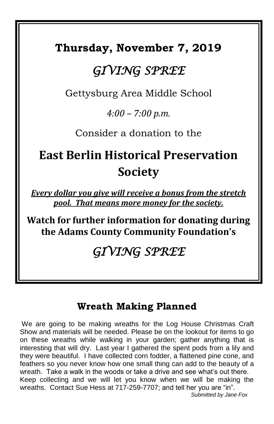## **Thursday, November 7, 2019**

# *GIVING SPREE*

Gettysburg Area Middle School

*4:00 – 7:00 p.m.*

Consider a donation to the

# **East Berlin Historical Preservation Society**

*Every dollar you give will receive a bonus from the stretch pool. That means more money for the society.*

**Watch for further information for donating during the Adams County Community Foundation's**

## *GIVING SPREE*

### **Wreath Making Planned**

We are going to be making wreaths for the Log House Christmas Craft Show and materials will be needed. Please be on the lookout for items to go on these wreaths while walking in your garden; gather anything that is interesting that will dry. Last year I gathered the spent pods from a lily and they were beautiful. I have collected corn fodder, a flattened pine cone, and feathers so you never know how one small thing can add to the beauty of a wreath. Take a walk in the woods or take a drive and see what's out there. Keep collecting and we will let you know when we will be making the wreaths. Contact Sue Hess at 717-259-7707; and tell her you are "in".  *Submitted by Jane Fox*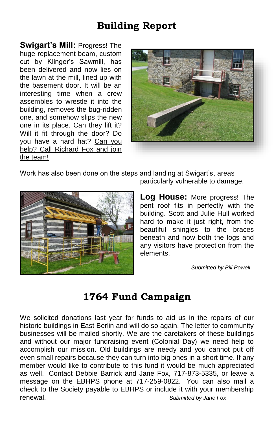### **Building Report**

**Swigart's Mill:** Progress! The huge replacement beam, custom cut by Klinger's Sawmill, has been delivered and now lies on the lawn at the mill, lined up with the basement door. It will be an interesting time when a crew assembles to wrestle it into the building, removes the bug-ridden one, and somehow slips the new one in its place. Can they lift it? Will it fit through the door? Do you have a hard hat? Can you help? Call Richard Fox and join the team!



Work has also been done on the steps and landing at Swigart's, areas



particularly vulnerable to damage.

**Log House:** More progress! The pent roof fits in perfectly with the building. Scott and Julie Hull worked hard to make it just right, from the beautiful shingles to the braces beneath and now both the logs and any visitors have protection from the elements.

*Submitted by Bill Powell*

#### **1764 Fund Campaign**

We solicited donations last year for funds to aid us in the repairs of our historic buildings in East Berlin and will do so again. The letter to community businesses will be mailed shortly. We are the caretakers of these buildings and without our major fundraising event (Colonial Day) we need help to accomplish our mission. Old buildings are needy and you cannot put off even small repairs because they can turn into big ones in a short time. If any member would like to contribute to this fund it would be much appreciated as well. Contact Debbie Barrick and Jane Fox, 717-873-5335, or leave a message on the EBHPS phone at 717-259-0822. You can also mail a check to the Society payable to EBHPS or include it with your membership renewal. *Submitted by Jane Fox*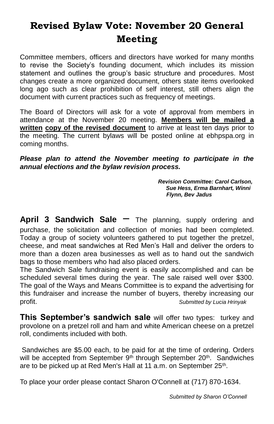## **Revised Bylaw Vote: November 20 General Meeting**

Committee members, officers and directors have worked for many months to revise the Society's founding document, which includes its mission statement and outlines the group's basic structure and procedures. Most changes create a more organized document, others state items overlooked long ago such as clear prohibition of self interest, still others align the document with current practices such as frequency of meetings.

The Board of Directors will ask for a vote of approval from members in attendance at the November 20 meeting. **Members will be mailed a written copy of the revised document** to arrive at least ten days prior to the meeting. The current bylaws will be posted online at ebhpspa.org in coming months.

*Please plan to attend the November meeting to participate in the annual elections and the bylaw revision process.*

> *Revision Committee: Carol Carlson, Sue Hess, Erma Barnhart, Winni Flynn, Bev Jadus*

**April 3 Sandwich Sale** – The planning, supply ordering and purchase, the solicitation and collection of monies had been completed. Today a group of society volunteers gathered to put together the pretzel, cheese, and meat sandwiches at Red Men's Hall and deliver the orders to more than a dozen area businesses as well as to hand out the sandwich bags to those members who had also placed orders.

The Sandwich Sale fundraising event is easily accomplished and can be scheduled several times during the year. The sale raised well over \$300. The goal of the Ways and Means Committee is to expand the advertising for this fundraiser and increase the number of buyers, thereby increasing our profit. *Submitted by Lucia Hrinyak*

**This September's sandwich sale** will offer two types: turkey and provolone on a pretzel roll and ham and white American cheese on a pretzel roll, condiments included with both.

Sandwiches are \$5.00 each, to be paid for at the time of ordering. Orders will be accepted from September 9<sup>th</sup> through September 20<sup>th</sup>. Sandwiches are to be picked up at Red Men's Hall at 11 a.m. on September 25<sup>th</sup>.

To place your order please contact Sharon O'Connell at (717) 870-1634.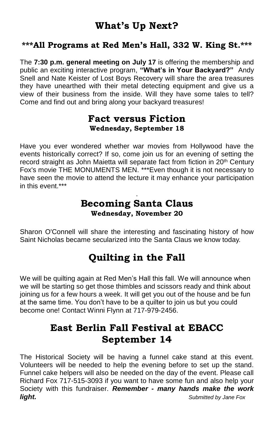#### **What's Up Next?**

#### **\*\*\*All Programs at Red Men's Hall, 332 W. King St.\*\*\***

The **7:30 p.m. general meeting on July 17** is offering the membership and public an exciting interactive program, **"What's in Your Backyard?"** Andy Snell and Nate Keister of Lost Boys Recovery will share the area treasures they have unearthed with their metal detecting equipment and give us a view of their business from the inside. Will they have some tales to tell? Come and find out and bring along your backyard treasures!

#### **Fact versus Fiction Wednesday, September 18**

Have you ever wondered whether war movies from Hollywood have the events historically correct? If so, come join us for an evening of setting the record straight as John Maietta will separate fact from fiction in 20<sup>th</sup> Century Fox's movie THE MONUMENTS MEN. \*\*\*Even though it is not necessary to have seen the movie to attend the lecture it may enhance your participation in this event \*\*\*

#### . **Becoming Santa Claus Wednesday, November 20**

Sharon O'Connell will share the interesting and fascinating history of how Saint Nicholas became secularized into the Santa Claus we know today.

### **Quilting in the Fall**

We will be quilting again at Red Men's Hall this fall. We will announce when we will be starting so get those thimbles and scissors ready and think about joining us for a few hours a week. It will get you out of the house and be fun at the same time. You don't have to be a quilter to join us but you could become one! Contact Winni Flynn at 717-979-2456.

#### **East Berlin Fall Festival at EBACC September 14**

The Historical Society will be having a funnel cake stand at this event. Volunteers will be needed to help the evening before to set up the stand. Funnel cake helpers will also be needed on the day of the event. Please call Richard Fox 717-515-3093 if you want to have some fun and also help your Society with this fundraiser. *Remember - many hands make the work light. Submitted by Jane Fox*